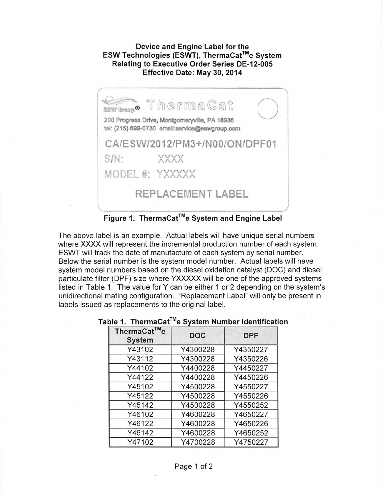## **Device and Engine Label for the ESW Technologies (ESWT), ThermaCat™e System Relating to Executive Order Series DE-12-005**



**Figure 1. ThermaCat™e System and Engine Label** 

The above label is an example. Actual labels will have unique serial numbers where **XXXX** will represent the incremental production number of each system. ESWT will track the date of manufacture of each system by serial number. Below the serial number is the system model number. Actual labels will have system model numbers based on the diesel oxidation catalyst (DOC) and diesel particulate filter (DPF) size where **YXXXXX** will be one of the approved systems listed in Table 1. The value for Y can be either 1 or 2 depending on the system's unidirectional mating configuration. "Replacement Label" will only be present in labels issued as replacements to the original label.

| ThermaCat™e<br><b>System</b> | <b>DOC</b> | <b>DPF</b> |
|------------------------------|------------|------------|
| Y43102                       | Y4300228   | Y4350227   |
| Y43112                       | Y4300228   | Y4350226   |
| Y44102                       | Y4400228   | Y4450227   |
| Y44122                       | Y4400228   | Y4450226   |
| Y45102                       | Y4500228   | Y4550227   |
| Y45122                       | Y4500228   | Y4550226   |
| Y45142.                      | Y4500228   | Y4550252   |
| Y46102                       | Y4600228   | Y4650227   |
| Y46122                       | Y4600228   | Y4650226   |
| Y46142                       | Y4600228   | Y4650252   |
| Y47102                       | Y4700228   | Y4750227   |

## Table 1. ThermaCat™e System Number Identification